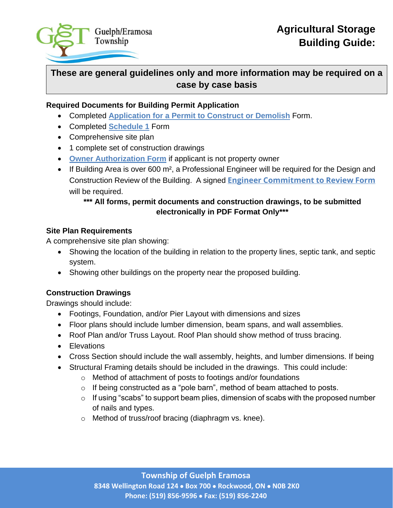

# **These are general guidelines only and more information may be required on a case by case basis**

### **Required Documents for Building Permit Application**

- Completed **Application for a Permit to Construct or Demolish** Form.
- Completed **Schedule 1** Form
- Comprehensive site plan
- 1 complete set of construction drawings
- **Owner Authorization Form** if applicant is not property owner
- If Building Area is over 600 m<sup>2</sup>, a Professional Engineer will be required for the Design and Construction Review of the Building. A signed **[Engineer Commitment to Review Form](https://www.wellesley.ca/en/doing-business/resources/Documents/Engineers-Commitment-to-Review.pdf)** will be required.

# **\*\*\* All forms, permit documents and construction drawings, to be submitted electronically in PDF Format Only\*\*\***

## **Site Plan Requirements**

A comprehensive site plan showing:

- Showing the location of the building in relation to the property lines, septic tank, and septic system.
- Showing other buildings on the property near the proposed building.

# **Construction Drawings**

Drawings should include:

- Footings, Foundation, and/or Pier Layout with dimensions and sizes
- Floor plans should include lumber dimension, beam spans, and wall assemblies.
- Roof Plan and/or Truss Layout. Roof Plan should show method of truss bracing.
- Elevations
- Cross Section should include the wall assembly, heights, and lumber dimensions. If being
- Structural Framing details should be included in the drawings. This could include:
	- o Method of attachment of posts to footings and/or foundations
	- o If being constructed as a "pole barn", method of beam attached to posts.
	- $\circ$  If using "scabs" to support beam plies, dimension of scabs with the proposed number of nails and types.
	- o Method of truss/roof bracing (diaphragm vs. knee).